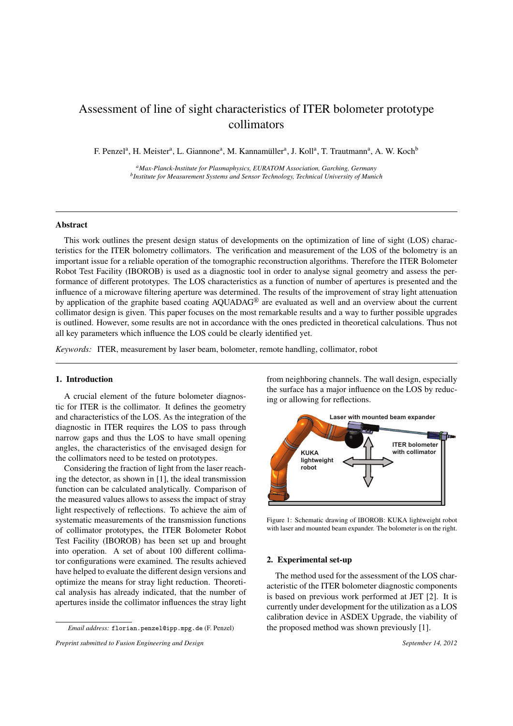# Assessment of line of sight characteristics of ITER bolometer prototype collimators

F. Penzel<sup>a</sup>, H. Meister<sup>a</sup>, L. Giannone<sup>a</sup>, M. Kannamüller<sup>a</sup>, J. Koll<sup>a</sup>, T. Trautmann<sup>a</sup>, A. W. Koch<sup>b</sup>

*<sup>a</sup>Max-Planck-Institute for Plasmaphysics, EURATOM Association, Garching, Germany b Institute for Measurement Systems and Sensor Technology, Technical University of Munich*

# Abstract

This work outlines the present design status of developments on the optimization of line of sight (LOS) characteristics for the ITER bolometry collimators. The verification and measurement of the LOS of the bolometry is an important issue for a reliable operation of the tomographic reconstruction algorithms. Therefore the ITER Bolometer Robot Test Facility (IBOROB) is used as a diagnostic tool in order to analyse signal geometry and assess the performance of different prototypes. The LOS characteristics as a function of number of apertures is presented and the influence of a microwave filtering aperture was determined. The results of the improvement of stray light attenuation by application of the graphite based coating AQUADAG® are evaluated as well and an overview about the current collimator design is given. This paper focuses on the most remarkable results and a way to further possible upgrades is outlined. However, some results are not in accordance with the ones predicted in theoretical calculations. Thus not all key parameters which influence the LOS could be clearly identified yet.

*Keywords:* ITER, measurement by laser beam, bolometer, remote handling, collimator, robot

#### 1. Introduction

A crucial element of the future bolometer diagnostic for ITER is the collimator. It defines the geometry and characteristics of the LOS. As the integration of the diagnostic in ITER requires the LOS to pass through narrow gaps and thus the LOS to have small opening angles, the characteristics of the envisaged design for the collimators need to be tested on prototypes.

Considering the fraction of light from the laser reaching the detector, as shown in [1], the ideal transmission function can be calculated analytically. Comparison of the measured values allows to assess the impact of stray light respectively of reflections. To achieve the aim of systematic measurements of the transmission functions of collimator prototypes, the ITER Bolometer Robot Test Facility (IBOROB) has been set up and brought into operation. A set of about 100 different collimator configurations were examined. The results achieved have helped to evaluate the different design versions and optimize the means for stray light reduction. Theoretical analysis has already indicated, that the number of apertures inside the collimator influences the stray light

*Email address:* florian.penzel@ipp.mpg.de (F. Penzel)

*Preprint submitted to Fusion Engineering and Design* September 14, 2012

from neighboring channels. The wall design, especially the surface has a major influence on the LOS by reducing or allowing for reflections.



Figure 1: Schematic drawing of IBOROB: KUKA lightweight robot with laser and mounted beam expander. The bolometer is on the right.

#### 2. Experimental set-up

The method used for the assessment of the LOS characteristic of the ITER bolometer diagnostic components is based on previous work performed at JET [2]. It is currently under development for the utilization as a LOS calibration device in ASDEX Upgrade, the viability of the proposed method was shown previously [1].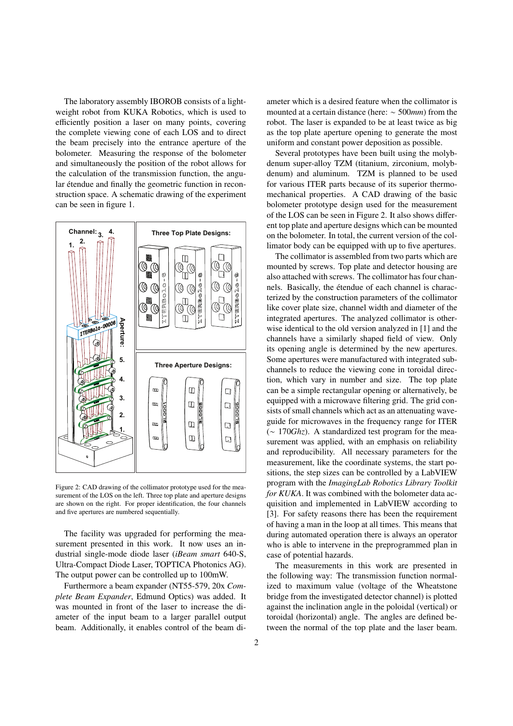The laboratory assembly IBOROB consists of a lightweight robot from KUKA Robotics, which is used to efficiently position a laser on many points, covering the complete viewing cone of each LOS and to direct the beam precisely into the entrance aperture of the bolometer. Measuring the response of the bolometer and simultaneously the position of the robot allows for the calculation of the transmission function, the angular étendue and finally the geometric function in reconstruction space. A schematic drawing of the experiment can be seen in figure 1.



Figure 2: CAD drawing of the collimator prototype used for the measurement of the LOS on the left. Three top plate and aperture designs are shown on the right. For proper identification, the four channels and five apertures are numbered sequentially.

The facility was upgraded for performing the measurement presented in this work. It now uses an industrial single-mode diode laser (*iBeam smart* 640-S, Ultra-Compact Diode Laser, TOPTICA Photonics AG). The output power can be controlled up to 100mW.

Furthermore a beam expander (NT55-579, 20x *Complete Beam Expander*, Edmund Optics) was added. It was mounted in front of the laser to increase the diameter of the input beam to a larger parallel output beam. Additionally, it enables control of the beam diameter which is a desired feature when the collimator is mounted at a certain distance (here: ∼ 500*mm*) from the robot. The laser is expanded to be at least twice as big as the top plate aperture opening to generate the most uniform and constant power deposition as possible.

Several prototypes have been built using the molybdenum super-alloy TZM (titanium, zirconium, molybdenum) and aluminum. TZM is planned to be used for various ITER parts because of its superior thermomechanical properties. A CAD drawing of the basic bolometer prototype design used for the measurement of the LOS can be seen in Figure 2. It also shows different top plate and aperture designs which can be mounted on the bolometer. In total, the current version of the collimator body can be equipped with up to five apertures.

The collimator is assembled from two parts which are mounted by screws. Top plate and detector housing are also attached with screws. The collimator has four channels. Basically, the étendue of each channel is characterized by the construction parameters of the collimator like cover plate size, channel width and diameter of the integrated apertures. The analyzed collimator is otherwise identical to the old version analyzed in [1] and the channels have a similarly shaped field of view. Only its opening angle is determined by the new apertures. Some apertures were manufactured with integrated subchannels to reduce the viewing cone in toroidal direction, which vary in number and size. The top plate can be a simple rectangular opening or alternatively, be equipped with a microwave filtering grid. The grid consists of small channels which act as an attenuating waveguide for microwaves in the frequency range for ITER (∼ 170*Ghz*). A standardized test program for the measurement was applied, with an emphasis on reliability and reproducibility. All necessary parameters for the measurement, like the coordinate systems, the start positions, the step sizes can be controlled by a LabVIEW program with the *ImagingLab Robotics Library Toolkit for KUKA*. It was combined with the bolometer data acquisition and implemented in LabVIEW according to [3]. For safety reasons there has been the requirement of having a man in the loop at all times. This means that during automated operation there is always an operator who is able to intervene in the preprogrammed plan in case of potential hazards.

The measurements in this work are presented in the following way: The transmission function normalized to maximum value (voltage of the Wheatstone bridge from the investigated detector channel) is plotted against the inclination angle in the poloidal (vertical) or toroidal (horizontal) angle. The angles are defined between the normal of the top plate and the laser beam.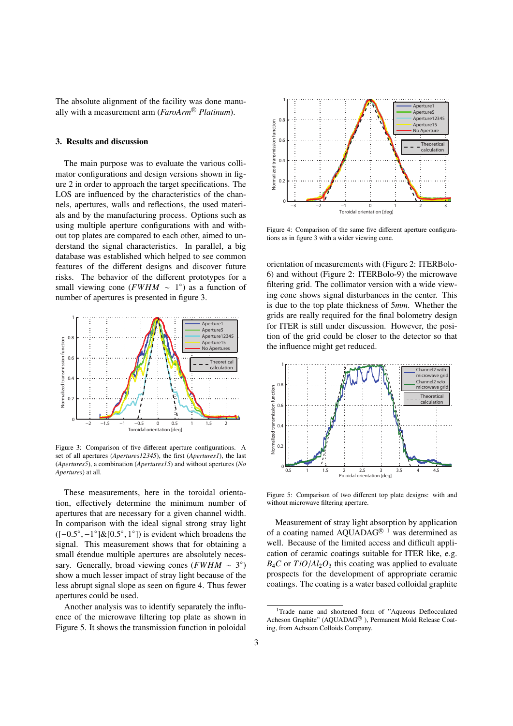The absolute alignment of the facility was done manually with a measurement arm (*FaroArm*<sup>®</sup> *Platinum*).

# 3. Results and discussion

The main purpose was to evaluate the various collimator configurations and design versions shown in figure 2 in order to approach the target specifications. The LOS are influenced by the characteristics of the channels, apertures, walls and reflections, the used materials and by the manufacturing process. Options such as using multiple aperture configurations with and without top plates are compared to each other, aimed to understand the signal characteristics. In parallel, a big database was established which helped to see common features of the different designs and discover future risks. The behavior of the different prototypes for a small viewing cone ( $FWHM \sim 1^{\circ}$ ) as a function of number of apertures is presented in figure 3.



Figure 3: Comparison of five different aperture configurations. A set of all apertures (*Apertures12345*), the first (*Apertures1*), the last (*Apertures5*), a combination (*Apertures15*) and without apertures (*No Apertures*) at all.

These measurements, here in the toroidal orientation, effectively determine the minimum number of apertures that are necessary for a given channel width. In comparison with the ideal signal strong stray light  $([-0.5^{\circ}, -1^{\circ}]\&[0.5^{\circ}, 1^{\circ}])$  is evident which broadens the signal This measurement shows that for obtaining a signal. This measurement shows that for obtaining a small étendue multiple apertures are absolutely necessary. Generally, broad viewing cones ( $FWHM \sim 3^{\circ}$ ) show a much lesser impact of stray light because of the less abrupt signal slope as seen on figure 4. Thus fewer apertures could be used.

Another analysis was to identify separately the influence of the microwave filtering top plate as shown in Figure 5. It shows the transmission function in poloidal



Figure 4: Comparison of the same five different aperture configurations as in figure 3 with a wider viewing cone.

orientation of measurements with (Figure 2: ITERBolo-6) and without (Figure 2: ITERBolo-9) the microwave filtering grid. The collimator version with a wide viewing cone shows signal disturbances in the center. This is due to the top plate thickness of 5*mm*. Whether the grids are really required for the final bolometry design for ITER is still under discussion. However, the position of the grid could be closer to the detector so that the influence might get reduced.



Figure 5: Comparison of two different top plate designs: with and without microwave filtering aperture.

Measurement of stray light absorption by application of a coating named AQUADAG<sup>® 1</sup> was determined as well. Because of the limited access and difficult application of ceramic coatings suitable for ITER like, e.g.  $B_4C$  or  $TiO/Al_2O_3$  this coating was applied to evaluate prospects for the development of appropriate ceramic coatings. The coating is a water based colloidal graphite

<sup>&</sup>lt;sup>1</sup>Trade name and shortened form of "Aqueous Deflocculated Acheson Graphite" (AQUADAG<sup>®</sup>), Permanent Mold Release Coating, from Achseon Colloids Company.